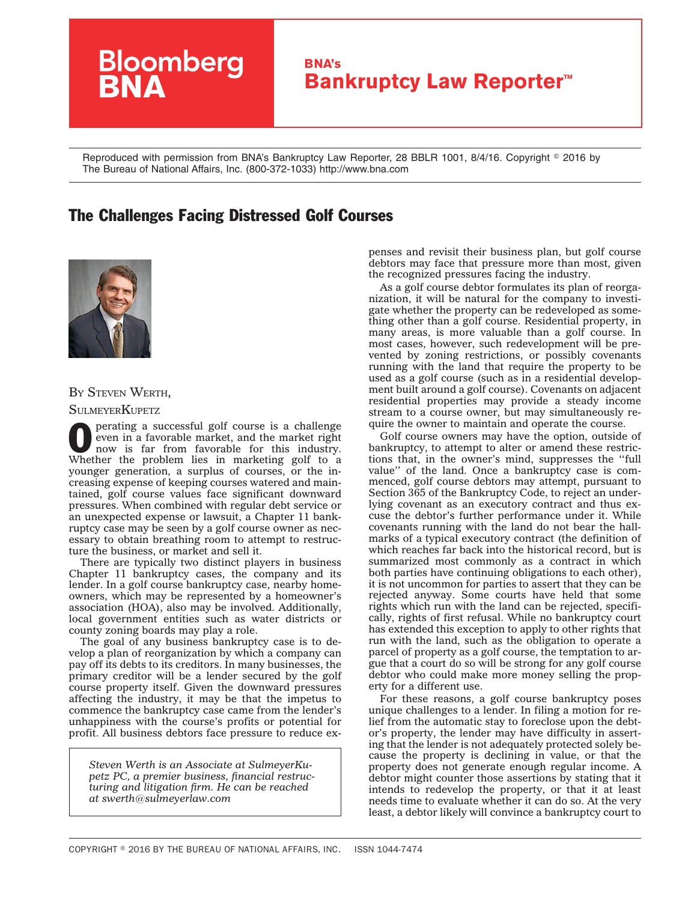

Reproduced with permission from BNA's Bankruptcy Law Reporter, 28 BBLR 1001, 8/4/16. Copyright © 2016 by The Bureau of National Affairs, Inc. (800-372-1033) http://www.bna.com

## The Challenges Facing Distressed Golf Courses



BY STEVEN WERTH, **SULMEYERKUPETZ** 

perating a successful golf course is a challenge even in a favorable market, and the market right now is far from favorable for this industry. Whether the problem lies in marketing golf to a younger generation, a surplus of courses, or the increasing expense of keeping courses watered and maintained, golf course values face significant downward pressures. When combined with regular debt service or an unexpected expense or lawsuit, a Chapter 11 bankruptcy case may be seen by a golf course owner as necessary to obtain breathing room to attempt to restructure the business, or market and sell it.

There are typically two distinct players in business Chapter 11 bankruptcy cases, the company and its lender. In a golf course bankruptcy case, nearby homeowners, which may be represented by a homeowner's association (HOA), also may be involved. Additionally, local government entities such as water districts or county zoning boards may play a role.

The goal of any business bankruptcy case is to develop a plan of reorganization by which a company can pay off its debts to its creditors. In many businesses, the primary creditor will be a lender secured by the golf course property itself. Given the downward pressures affecting the industry, it may be that the impetus to commence the bankruptcy case came from the lender's unhappiness with the course's profits or potential for profit. All business debtors face pressure to reduce ex-

*Steven Werth is an Associate at SulmeyerKupetz PC, a premier business, financial restructuring and litigation firm. He can be reached at [swerth@sulmeyerlaw.com](mailto:swerth@sulmeyerlaw.com)*

penses and revisit their business plan, but golf course debtors may face that pressure more than most, given the recognized pressures facing the industry.

As a golf course debtor formulates its plan of reorganization, it will be natural for the company to investigate whether the property can be redeveloped as something other than a golf course. Residential property, in many areas, is more valuable than a golf course. In most cases, however, such redevelopment will be prevented by zoning restrictions, or possibly covenants running with the land that require the property to be used as a golf course (such as in a residential development built around a golf course). Covenants on adjacent residential properties may provide a steady income stream to a course owner, but may simultaneously require the owner to maintain and operate the course.

Golf course owners may have the option, outside of bankruptcy, to attempt to alter or amend these restrictions that, in the owner's mind, suppresses the ''full value'' of the land. Once a bankruptcy case is commenced, golf course debtors may attempt, pursuant to Section 365 of the Bankruptcy Code, to reject an underlying covenant as an executory contract and thus excuse the debtor's further performance under it. While covenants running with the land do not bear the hallmarks of a typical executory contract (the definition of which reaches far back into the historical record, but is summarized most commonly as a contract in which both parties have continuing obligations to each other), it is not uncommon for parties to assert that they can be rejected anyway. Some courts have held that some rights which run with the land can be rejected, specifically, rights of first refusal. While no bankruptcy court has extended this exception to apply to other rights that run with the land, such as the obligation to operate a parcel of property as a golf course, the temptation to argue that a court do so will be strong for any golf course debtor who could make more money selling the property for a different use.

For these reasons, a golf course bankruptcy poses unique challenges to a lender. In filing a motion for relief from the automatic stay to foreclose upon the debtor's property, the lender may have difficulty in asserting that the lender is not adequately protected solely because the property is declining in value, or that the property does not generate enough regular income. A debtor might counter those assertions by stating that it intends to redevelop the property, or that it at least needs time to evaluate whether it can do so. At the very least, a debtor likely will convince a bankruptcy court to